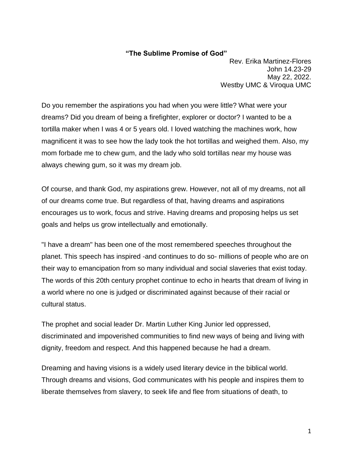## **"The Sublime Promise of God"**

Rev. Erika Martinez-Flores John 14.23-29 May 22, 2022. Westby UMC & Viroqua UMC

Do you remember the aspirations you had when you were little? What were your dreams? Did you dream of being a firefighter, explorer or doctor? I wanted to be a tortilla maker when I was 4 or 5 years old. I loved watching the machines work, how magnificent it was to see how the lady took the hot tortillas and weighed them. Also, my mom forbade me to chew gum, and the lady who sold tortillas near my house was always chewing gum, so it was my dream job.

Of course, and thank God, my aspirations grew. However, not all of my dreams, not all of our dreams come true. But regardless of that, having dreams and aspirations encourages us to work, focus and strive. Having dreams and proposing helps us set goals and helps us grow intellectually and emotionally.

"I have a dream" has been one of the most remembered speeches throughout the planet. This speech has inspired -and continues to do so- millions of people who are on their way to emancipation from so many individual and social slaveries that exist today. The words of this 20th century prophet continue to echo in hearts that dream of living in a world where no one is judged or discriminated against because of their racial or cultural status.

The prophet and social leader Dr. Martin Luther King Junior led oppressed, discriminated and impoverished communities to find new ways of being and living with dignity, freedom and respect. And this happened because he had a dream.

Dreaming and having visions is a widely used literary device in the biblical world. Through dreams and visions, God communicates with his people and inspires them to liberate themselves from slavery, to seek life and flee from situations of death, to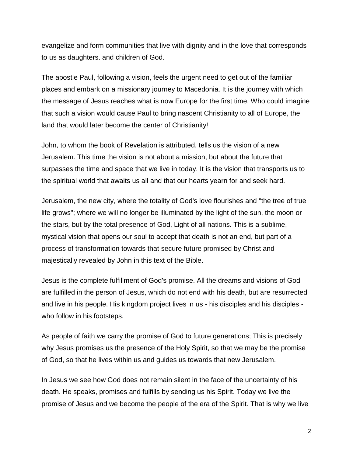evangelize and form communities that live with dignity and in the love that corresponds to us as daughters. and children of God.

The apostle Paul, following a vision, feels the urgent need to get out of the familiar places and embark on a missionary journey to Macedonia. It is the journey with which the message of Jesus reaches what is now Europe for the first time. Who could imagine that such a vision would cause Paul to bring nascent Christianity to all of Europe, the land that would later become the center of Christianity!

John, to whom the book of Revelation is attributed, tells us the vision of a new Jerusalem. This time the vision is not about a mission, but about the future that surpasses the time and space that we live in today. It is the vision that transports us to the spiritual world that awaits us all and that our hearts yearn for and seek hard.

Jerusalem, the new city, where the totality of God's love flourishes and "the tree of true life grows"; where we will no longer be illuminated by the light of the sun, the moon or the stars, but by the total presence of God, Light of all nations. This is a sublime, mystical vision that opens our soul to accept that death is not an end, but part of a process of transformation towards that secure future promised by Christ and majestically revealed by John in this text of the Bible.

Jesus is the complete fulfillment of God's promise. All the dreams and visions of God are fulfilled in the person of Jesus, which do not end with his death, but are resurrected and live in his people. His kingdom project lives in us - his disciples and his disciples who follow in his footsteps.

As people of faith we carry the promise of God to future generations; This is precisely why Jesus promises us the presence of the Holy Spirit, so that we may be the promise of God, so that he lives within us and guides us towards that new Jerusalem.

In Jesus we see how God does not remain silent in the face of the uncertainty of his death. He speaks, promises and fulfills by sending us his Spirit. Today we live the promise of Jesus and we become the people of the era of the Spirit. That is why we live